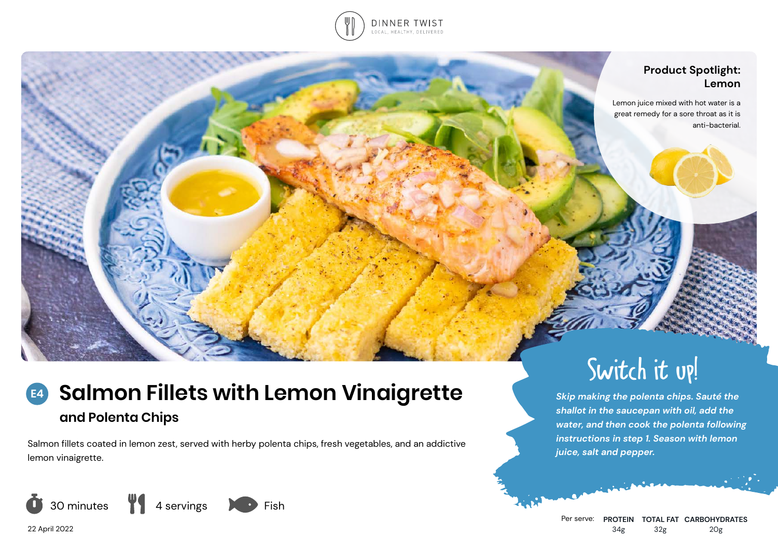

## **Product Spotlight: Lemon**

Lemon juice mixed with hot water is a great remedy for a sore throat as it is anti-bacterial.

# **Salmon Fillets with Lemon Vinaigrette and Polenta Chips E4**

Salmon fillets coated in lemon zest, served with herby polenta chips, fresh vegetables, and an addictive lemon vinaigrette.



22 April 2022



Switch it up!

*Skip making the polenta chips. Sauté the shallot in the saucepan with oil, add the water, and then cook the polenta following instructions in step 1. Season with lemon* 

*juice, salt and pepper.*